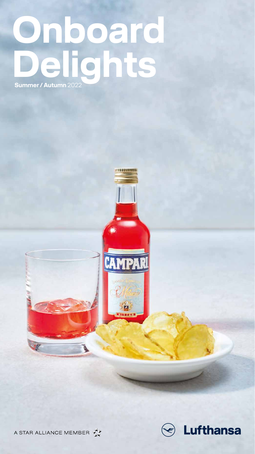# **Onboard Delights Summer / Autumn** 2022



1366233







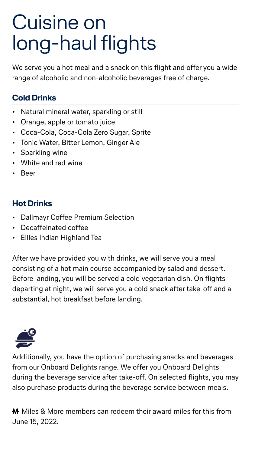# Cuisine on long-haul flights

We serve you a hot meal and a snack on this flight and offer you a wide range of alcoholic and non-alcoholic beverages free of charge.

#### **Cold Drinks**

- Natural mineral water, sparkling or still
- Orange, apple or tomato juice
- Coca-Cola, Coca-Cola Zero Sugar, Sprite
- Tonic Water, Bitter Lemon, Ginger Ale
- Sparkling wine
- White and red wine
- Beer

#### **Hot Drinks**

- Dallmayr Coffee Premium Selection
- Decaffeinated coffee
- Eilles Indian Highland Tea

**M** Miles & More members can redeem their award miles for this from June 15, 2022.

After we have provided you with drinks, we will serve you a meal consisting of a hot main course accompanied by salad and dessert. Before landing, you will be served a cold vegetarian dish. On flights departing at night, we will serve you a cold snack after take-off and a substantial, hot breakfast before landing.



Additionally, you have the option of purchasing snacks and beverages from our Onboard Delights range. We offer you Onboard Delights during the beverage service after take-off. On selected flights, you may also purchase products during the beverage service between meals.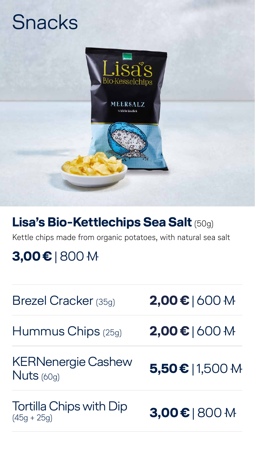# Snacks



#### Brezel Cracker (35g) **2,00€** | 600

Hummus Chips (25g) **2,00€** | 600

Tortilla Chips with Dip  $(45g + 25g)$  **3,00€** | 800 M

#### KERNenergie Cashew Nuts (60g) **5,50€** | 1,500

## **Lisa's Bio-Kettlechips Sea Salt** (50g)

#### Kettle chips made from organic potatoes, with natural sea salt

## **3,00€** | 800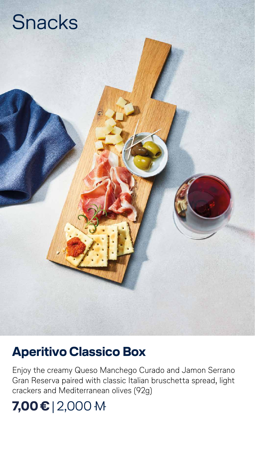# Snacks

#### **Aperitivo Classico Box**

Enjoy the creamy Queso Manchego Curado and Jamon Serrano Gran Reserva paired with classic Italian bruschetta spread, light crackers and Mediterranean olives (92g)

#### **7,00€** | 2,000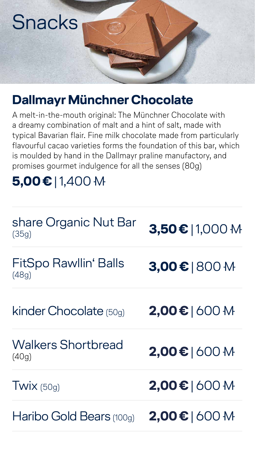# Snacks

## **Dallmayr Münchner Chocolate**

A melt-in-the-mouth original: The Münchner Chocolate with a dreamy combination of malt and a hint of salt, made with typical Bavarian flair. Fine milk chocolate made from particularly flavourful cacao varieties forms the foundation of this bar, which is moulded by hand in the Dallmayr praline manufactory, and promises gourmet indulgence for all the senses (80g)

## **5,00€** | 1,400

#### share Organic Nut Bar (35g) **3,50€** | 1,000

#### FitSpo Rawllin' Balls (48g) **3,00€** | 800

kinder Chocolate (50g) **2,00€** | 600

#### Walkers Shortbread (40g) **2,00€** | 600

Twix (50g) **2,00€** | 600

#### Haribo Gold Bears (100g) **2,00€** | 600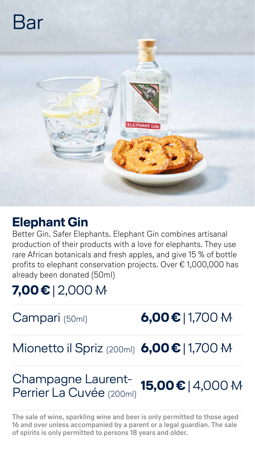# Bar



### **Elephant Gin**

Better Gin. Safer Elephants. Elephant Gin combines artisanal production of their products with a love for elephants. They use rare African botanicals and fresh apples, and give 15 % of bottle profits to elephant conservation projects. Over € 1,000,000 has already been donated (50ml)

## **7,00€** | 2,000





## Mionetto il Spriz (200ml) **6,00€** | 1,700

#### Champagne Laurent-Perrier La Cuvée (200ml) **15,00€** | 4,000

**The sale of wine, sparkling wine and beer is only permitted to those aged 16 and over unless accompanied by a parent or a legal guardian. The sale of spirits is only permitted to persons 18 years and older.**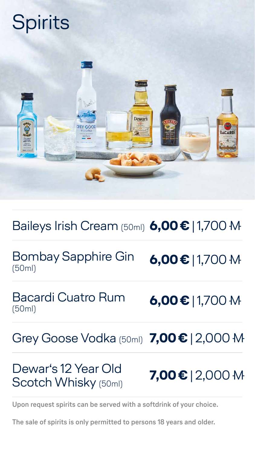# Spirits



**Upon request spirits can be served with a softdrink of your choice.**

Bombay Sapphire Gin **6,00€ | 1,700 M**<br>(50ml)

### Baileys Irish Cream (50ml) **6,00€** | 1,700

Bacardi Cuatro Rum

(50ml) **6,00€** | 1,700



#### Grey Goose Vodka (50ml) **7,00€** | 2,000

#### Dewar's 12 Year Old Scotch Whisky (50ml) **7,00€** | 2,000

**The sale of spirits is only permitted to persons 18 years and older.**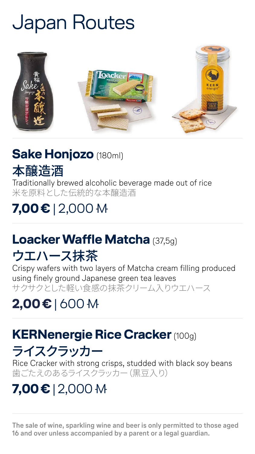# Japan Routes



#### **Sake Honjozo** (180ml)



Traditionally brewed alcoholic beverage made out of rice 米を原料とした伝統的な本醸造酒

## **7,00€** | 2,000

### **Loacker Waffle Matcha** (37,5g)

## ウエハース抹茶

Rice Cracker with strong crisps, studded with black soy beans 歯ごたえのあるライスクラッカー(黒豆入り)

Crispy wafers with two layers of Matcha cream filling produced using finely ground Japanese green tea leaves サクサクとした軽い食感の抹茶クリーム入りウエハース

#### **2,00€** | 600

## **KERNenergie Rice Cracker** (100g) ライスクラッカー

#### **7,00€** | 2,000

**The sale of wine, sparkling wine and beer is only permitted to those aged 16 and over unless accompanied by a parent or a legal guardian.**